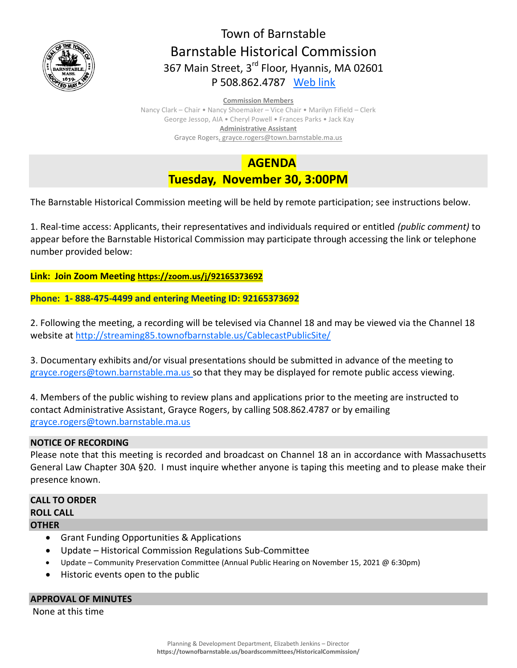

# Town of Barnstable Barnstable Historical Commission 367 Main Street, 3<sup>rd</sup> Floor, Hyannis, MA 02601 P 508.862.4787 [Web link](https://tobweb.town.barnstable.ma.us/boardscommittees/HistoricalCommission/default.asp?brd=Historical+Commission&year=2021)

#### **Commission Members**

Nancy Clark – Chair • Nancy Shoemaker – Vice Chair • Marilyn Fifield – Clerk George Jessop, AIA • Cheryl Powell • Frances Parks • Jack Kay **Administrative Assistant** Grayce Rogers, grayce.rogers@town.barnstable.ma.us

 **AGENDA**

**Tuesday, November 30, 3:00PM**

The Barnstable Historical Commission meeting will be held by remote participation; see instructions below.

1. Real-time access: Applicants, their representatives and individuals required or entitled *(public comment)* to appear before the Barnstable Historical Commission may participate through accessing the link or telephone number provided below:

**Link: Join Zoom Meeting <https://zoom.us/j/92165373692>**

**Phone: 1- 888-475-4499 and entering Meeting ID: 92165373692**

2. Following the meeting, a recording will be televised via Channel 18 and may be viewed via the Channel 18 website at<http://streaming85.townofbarnstable.us/CablecastPublicSite/>

3. Documentary exhibits and/or visual presentations should be submitted in advance of the meeting to [grayce.rogers@town.barnstable.ma.us](mailto:grayce.rogers@town.barnstable.ma.us) so that they may be displayed for remote public access viewing.

4. Members of the public wishing to review plans and applications prior to the meeting are instructed to contact Administrative Assistant, Grayce Rogers, by calling 508.862.4787 or by emailing [grayce.rogers@town.barnstable.ma.us](mailto:grayce.rogers@town.barnstable.ma.us)

# **NOTICE OF RECORDING**

Please note that this meeting is recorded and broadcast on Channel 18 an in accordance with Massachusetts General Law Chapter 30A §20. I must inquire whether anyone is taping this meeting and to please make their presence known.

## **CALL TO ORDER ROLL CALL OTHER**

- Grant Funding Opportunities & Applications
- Update Historical Commission Regulations Sub-Committee
- Update Community Preservation Committee (Annual Public Hearing on November 15, 2021 @ 6:30pm)
- Historic events open to the public

### **APPROVAL OF MINUTES**

None at this time